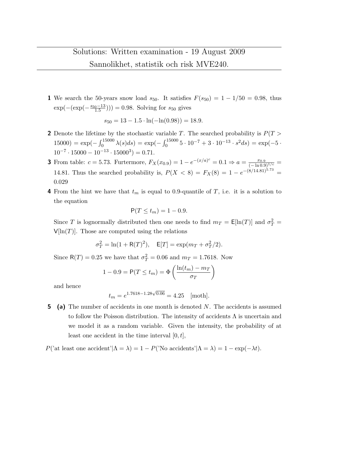1 We search the 50-years snow load  $s_{50}$ . It satisfies  $F(s_{50}) = 1 - 1/50 = 0.98$ , thus  $\exp(-(\exp(-\frac{s_{50}-13}{1.5}))) = 0.98$ . Solving for  $s_{50}$  gives

$$
s_{50} = 13 - 1.5 \cdot \ln(-\ln(0.98)) = 18.9.
$$

- 2 Denote the lifetime by the stochastic variable T. The searched probability is  $P(T >$ 15000) =  $\exp(-\int_0^{15000} \lambda(s) ds) = \exp(-\int_0^{15000} 5 \cdot 10^{-7} + 3 \cdot 10^{-13} \cdot s^2 ds) = \exp(-5 \cdot$  $10^{-7} \cdot 15000 - 10^{-13} \cdot 15000^3) = 0.71.$
- **3** From table:  $c = 5.73$ . Furtermore,  $F_X(x_{0.9}) = 1 e^{-(x/a)^c} = 0.1 \Rightarrow a = \frac{x_{0.9}}{(-\ln 0.9)^{1/c}} =$ 14.81. Thus the searched probability is,  $P(X < 8) = F_X(8) = 1 - e^{-(8/14.81)^{5.73}} =$ 0.029
- 4 From the hint we have that  $t_m$  is equal to 0.9-quantile of T, i.e. it is a solution to the equation

$$
\mathsf{P}(T \le t_m) = 1 - 0.9.
$$

Since T is lognormally distributed then one needs to find  $m_T = \mathsf{E}[\ln(T)]$  and  $\sigma_T^2 =$  $V[\ln(T)]$ . Those are computed using the relations

$$
\sigma_T^2 = \ln(1 + R(T)^2)
$$
,  $E[T] = \exp(m_T + \sigma_T^2/2)$ .

Since  $R(T) = 0.25$  we have that  $\sigma_T^2 = 0.06$  and  $m_T = 1.7618$ . Now

$$
1 - 0.9 = P(T \le t_m) = \Phi\left(\frac{\ln(t_m) - m_T}{\sigma_T}\right)
$$

and hence

$$
t_m = e^{1.7618 - 1.28\sqrt{0.06}} = 4.25
$$
 [month].

5 (a) The number of accidents in one month is denoted N. The accidents is assumed to follow the Poisson distribution. The intensity of accidents  $\Lambda$  is uncertain and we model it as a random variable. Given the intensity, the probability of at least one accident in the time interval  $[0, t]$ ,

P('at least one accident'| $\Lambda = \lambda$ ) = 1 – P('No accidents'| $\Lambda = \lambda$ ) = 1 – exp(- $\lambda t$ ).